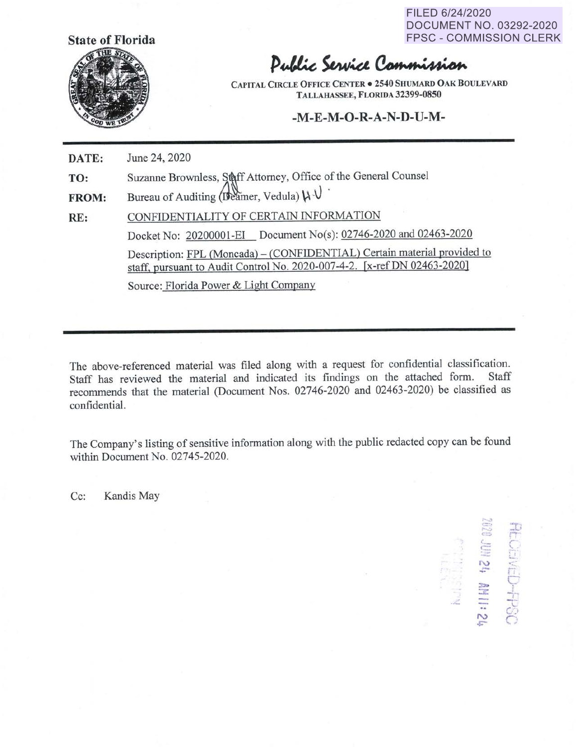FILED 6/24/2020 DOCUMENT NO. 03292-2020 FPSC - COMMISSION CLERK



## Public Service Commission

**CAPITAL CIRCLE OFFICE CENTER• 2S40 SHUMARD OAK BOULEVARD TALLAHASSEE, FLORIDA 32399-08S0** 

## **-M-E-M-0-R-A-N-D-U-M-**

**DATE:**  June 24, 2020

**TO:**  Suzanne Brownless, Staff Attorney, Office of the General Counsel

**FROM:**  Bureau of Auditing (Deamer, Vedula)  $\mathcal{U} \cdot \mathcal{V}$ 

**RE:**  CONFIDENTIALITY OF CERTAIN INFORMATION Docket No: 20200001-EI Document No(s): 02746-2020 and 02463-2020 Description: FPL (Moncada) – (CONFIDENTIAL) Certain material provided to staff, pursuant to Audit Control No. 2020-007-4-2. [x-ref DN 02463-2020] Source: Florida Power & Light Company

The above-referenced material was filed along with a request for confidential classification. Staff has reviewed the material and indicated its findings on the attached form. Staff recommends that the material (Document Nos. 02746-2020 and 02463-2020) be classified as confidential.

The Company's listing of sensitive information along with the public redacted copy can be found within Document No. 02745-2020.

Cc: Kandis May

 $\Xi$   $\equiv$  $\epsilon = 8$ ! i  $\geq$   $\geq$ <u>and Contract Contract Contract Contract Contract Contract Contract Contract Contract Contract Contract Contract Contract Contract Contract Contract Contract Contract Contract Contract Contract Contract Contract Contract C</u>  $\frac{1}{\sqrt{2}}$ ··- $\cdot$ .  $\cdot$  $\approx$   $\approx$